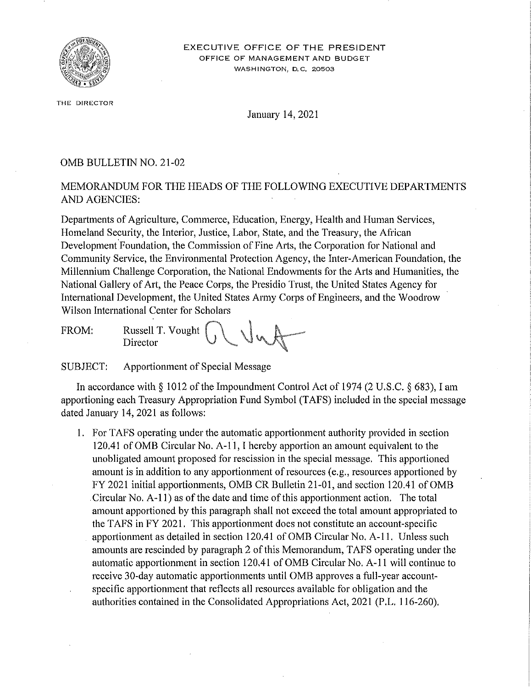

**THE DIRECTOR** 

January 14, 2021

## 0MB BULLETIN NO. 21-02

## MEMORANDUM FOR THE HEADS OF THE FOLLOWING EXECUTIVE DEPARTMENTS AND AGENCIES:

Departments of Agriculture, Commerce, Education, Energy, Health and Human Services, Homeland Security, the Interior, Justice, Labor, State, and the Treasury, the African Development Foundation, the Commission of Fine Arts, the Corporation for National and Community Service, the Environmental Protection Agency, the Inter-American Foundation, the Millennium Challenge Corporation, the National Endowments for the Arts and Humanities, the National Gallery of Art, the Peace Corps, the Presidio Trust, the United States Agency for International Development, the United States Army Corps of Engineers, and the Woodrow Wilson International Center for Scholars

FROM: Russell T. Vought Director

SUBJECT: Apportionment of Special Message

In accordance with  $\S 1012$  of the Impoundment Control Act of 1974 (2 U.S.C.  $\S 683$ ), I am apportioning each Treasury Appropriation Fund Symbol (TAFS) included in the special message dated January 14, 2021 as follows:

I. For TAFS operating under the automatic apportionment authority provided in section 120.41 of 0MB Circular No. A-11, I hereby apportion an amount equivalent to the unobligated amount proposed for rescission in the special message. This apportioned amount is in addition to any apportionment of resources (e.g., resources apportioned by FY 2021 initial apportionments, OMB CR Bulletin 21-01, and section 120.41 of OMB . Circular No. A-11) as of the date and time of this apportionment action. The total amount apportioned by this paragraph shall not exceed the total amount appropriated to the TAFS in FY 2021. This apportionment does not constitute an account-specific apportionment as detailed in section 120.41 of 0MB Circular No. A-1 I. Unless such amounts are rescinded by paragraph 2 of this Memorandum, T AFS operating under the automatic apportionment in section 120.41 of OMB Circular No. A-11 will continue to receive 30-day automatic apportionments until 0MB approves a full-year accountspecific apportionment that reflects all resources available for obligation and the authorities contained in the Consolidated Appropriations Act, 2021 (P.L. 116-260).